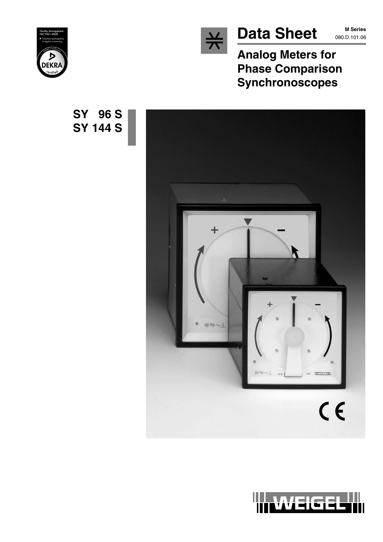

# Data Sheet MSeries

**M Series**

**Analog Meters for Phase Comparison Synchronoscopes**







**SY 96 S SY 144 S**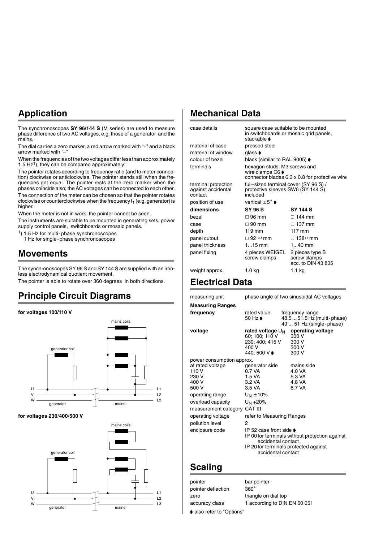## **Application**

The synchronoscopes **SY 96/144 S** (M series) are used to measure phase difference of two AC voltages, e.g. those of a generator and the mains.

The dial carries a zero marker, a red arrow marked with "+" and a black arrow marked with "-

When the frequencies of the two voltages differ less than approximately 1.5  $Hz<sup>1</sup>$ ), they can be compared approximately:

The pointer rotates according to frequency ratio (and to meter connection) clockwise or anticlockwise. The pointer stands still when the frequencies get equal. The pointer rests at the zero marker when the phases coincide also; the AC voltages can be connected to each other.

The connection of the meter can be chosen so that the pointer rotates clockwise or counterclockwise when the frequency  $f_1$  (e.g. generator) is higher.

When the meter is not in work, the pointer cannot be seen.

The instruments are suitable to be mounted in generating sets, power supply control panels, switchboards or mosaic panels.

- 1) 1.5 Hz for multi-phase synchronoscopes
- 1 Hz for single-phase synchronoscopes

#### **Movements**

The synchronoscopes SY 96 S and SY 144 S are supplied with an ironless electrodynamical quotient movement.

The pointer is able to rotate over 360 degrees in both directions.

### **Principle Circuit Diagrams**

#### **for voltages 100/110 V**



for voltages 230/400/500 V



#### **Mechanical Data**

| case details                                         | square case suitable to be mounted<br>in switchboards or mosaic grid panels,<br>stackable <b>▶</b>                     |                                                       |
|------------------------------------------------------|------------------------------------------------------------------------------------------------------------------------|-------------------------------------------------------|
| material of case                                     | pressed steel                                                                                                          |                                                       |
| material of window                                   | glass <b>♦</b>                                                                                                         |                                                       |
| colour of bezel                                      | black (similar to RAL 9005) ♦                                                                                          |                                                       |
| terminals                                            | hexagon studs, M3 screws and<br>wire clamps $C6 \blacktriangleright$<br>connector blades 6.3 x 0.8 for protective wire |                                                       |
| terminal protection<br>against accidental<br>contact | full-sized terminal cover (SY 96 S) /<br>protective sleeves SW6 (SY 144 S)<br>included                                 |                                                       |
| position of use                                      | vertical $\pm 5^{\circ}$ $\bullet$                                                                                     |                                                       |
| dimensions                                           | SY 96 S                                                                                                                | <b>SY 144 S</b>                                       |
| bezel                                                | $\Box$ 96 mm                                                                                                           | $\Box$ 144 mm                                         |
| case                                                 | $\Box$ 90 mm                                                                                                           | $\Box$ 137 mm                                         |
| depth                                                | 119 mm                                                                                                                 | $117 \text{ mm}$                                      |
| panel cutout                                         | $\Box$ 92+0.8 mm                                                                                                       | $\Box$ 138+1 mm                                       |
| panel thickness                                      | $115$ mm                                                                                                               | $140$ mm                                              |
| panel fixing                                         | 4 pieces WEIGEL<br>screw clamps                                                                                        | 2 pieces type B<br>screw clamps<br>acc. to DIN 43 835 |
| weight approx.                                       | 1.0 kg                                                                                                                 | 1.1 kg                                                |
|                                                      |                                                                                                                        |                                                       |

#### **Electrical Data**

| measuring unit                                                                                                                                                                         | phase angle of two sinusoidal AC voltages                                                                                                                                                                                  |  |                                                                                                                                               |  |
|----------------------------------------------------------------------------------------------------------------------------------------------------------------------------------------|----------------------------------------------------------------------------------------------------------------------------------------------------------------------------------------------------------------------------|--|-----------------------------------------------------------------------------------------------------------------------------------------------|--|
| <b>Measuring Ranges</b>                                                                                                                                                                |                                                                                                                                                                                                                            |  |                                                                                                                                               |  |
| frequency                                                                                                                                                                              | rated value<br>50 Hz $\bullet$                                                                                                                                                                                             |  | frequency range<br>48.5  51.5 Hz (multi - phase)<br>49  51 Hz (single-phase)                                                                  |  |
| voltage                                                                                                                                                                                | rated voltage $U_{N}$<br>60; 100; 110 V<br>230; 400; 415 V<br>400 V<br>440; 500 V ♦                                                                                                                                        |  | operating voltage<br>300 V<br>300 V<br>300 V<br>300 V                                                                                         |  |
| power consumption approx.                                                                                                                                                              |                                                                                                                                                                                                                            |  |                                                                                                                                               |  |
| at rated voltage<br>110 V<br>230 V<br>400 V<br>500 V<br>operating range<br>overload capacity<br>measurement category CAT III<br>operating voltage<br>pollution level<br>enclosure code | generator side<br>0.7 VA<br>1.5 VA<br>3.2 VA<br>$3.5 \text{ VA}$<br>$U_N \pm 10\%$<br>U <sub>N</sub> +20%<br>refer to Measuring Ranges<br>2<br>IP 52 case front side $\bullet$<br>accidental contact<br>accidental contact |  | mains side<br>4.0 VA<br>5.3 VA<br>4.8 VA<br>6.7 VA<br>IP 00 for terminals without protection against<br>IP 20 for terminals protected against |  |
|                                                                                                                                                                                        |                                                                                                                                                                                                                            |  |                                                                                                                                               |  |

#### **Scaling**

pointer bar pointer pointer deflection  $360°$ zero triangle on dial top accuracy class 1 according to DIN EN 60 051 • also refer to "Options"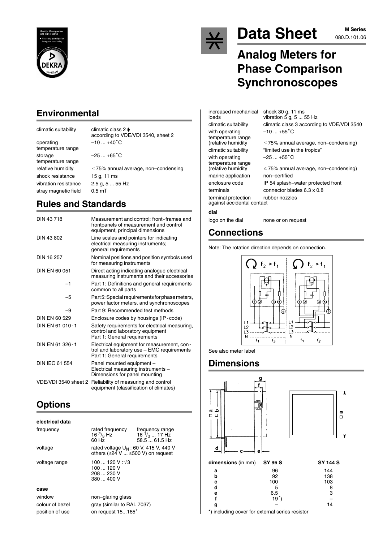

### **Environmental**

operating  $-10...+40^{\circ}$ C temperature range storage  $-25...+65^{\circ}$ C temperature range shock resistance 15 g, 11 ms vibration resistance 2.5 g, 5 ... 55 Hz stray magnetic field 0.5 mT

climatic suitability climatic class 2 according to VDE/VDI 3540, sheet 2

relative humidity 75% annual average, non–condensing

### **Rules and Standards**

| DIN 43718       | Measurement and control; front-frames and<br>frontpanels of measurement and control<br>equipment; principal dimensions   |
|-----------------|--------------------------------------------------------------------------------------------------------------------------|
| DIN 43 802      | Line scales and pointers for indicating<br>electrical measuring instruments;<br>general requirements                     |
| DIN 16 257      | Nominal positions and position symbols used<br>for measuring instruments                                                 |
| DIN EN 60 051   | Direct acting indicating analogue electrical<br>measuring instruments and their accessories                              |
| $-1$            | Part 1: Definitions and general requirements<br>common to all parts                                                      |
| -5              | Part 5: Special requirements for phase meters,<br>power factor meters, and synchronoscopes                               |
| -9              | Part 9: Recommended test methods                                                                                         |
| DIN EN 60 529   | Enclosure codes by housings (IP-code)                                                                                    |
| DIN EN 61 010-1 | Safety requirements for electrical measuring,<br>control and laboratory equipment<br>Part 1: General requirements        |
| DIN EN 61 326-1 | Electrical equipment for measurement, con-<br>trol and laboratory use - EMC requirements<br>Part 1: General requirements |
| DIN IFC 61 554  | Panel mounted equipment -<br>Electrical measuring instruments -<br>Dimensions for panel mounting                         |
|                 | VDE/VDI 3540 sheet 2 Reliability of measuring and control<br>equipment (classification of climates)                      |

## **Options**

#### **electrical data** frequency rated frequency frequency range<br>
16  $\frac{2}{3}$  Hz 16  $\frac{1}{3}$  ... 17 Hz 60 Hz 58.5 ... 61.5 Hz voltage rated voltage U<sub>N</sub> : 60 V, 415 V, 440 V<br>others (≥24 V ... ≤500 V) on request voltage range  $100...120 \text{ V}$ : $\sqrt{3}$ 100 ... 120 V 208 ... 230 V 380 ... 400 V

#### **case**

position of use on request 15...165°

window non–glaring glass colour of bezel gray (similar to RAL 7037)



# **Data Sheet M Series**

# **Analog Meters for Phase Comparison Synchronoscopes**

vibration  $5$  g, 5 ... 55 Hz

 $\le$  75% annual average, non–condensing)

 $\leq$  75% annual average, non–condensing)

 $-10$  ... +55 $^{\circ}$ C

 $-25...+55^{\circ}C$ 

increased mechanical shock 30 g, 11 ms

climatic suitability climatic class 3 according to VDE/VDI 3540 with operating temperature range<br>(relative humidity climatic suitability "limited use in the tropics" with operating temperature range<br>(relative humidity marine application non–certified enclosure code IP 54 splash–water protected front terminals connector blades 6.3 x 0.8 terminal protection rubber nozzles against accidental contact **dial**

logo on the dial none or on request

### **Connections**

Note: The rotation direction depends on connection.



See also meter label

### **Dimensions**